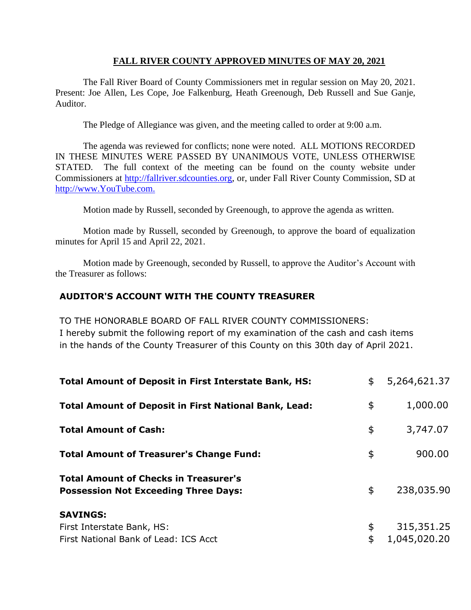### **FALL RIVER COUNTY APPROVED MINUTES OF MAY 20, 2021**

The Fall River Board of County Commissioners met in regular session on May 20, 2021. Present: Joe Allen, Les Cope, Joe Falkenburg, Heath Greenough, Deb Russell and Sue Ganje, Auditor.

The Pledge of Allegiance was given, and the meeting called to order at 9:00 a.m.

The agenda was reviewed for conflicts; none were noted. ALL MOTIONS RECORDED IN THESE MINUTES WERE PASSED BY UNANIMOUS VOTE, UNLESS OTHERWISE STATED. The full context of the meeting can be found on the county website under Commissioners at [http://fallriver.sdcounties.org,](http://fallriver.sdcounties.org/) or, under Fall River County Commission, SD at [http://www.YouTube.com.](http://www.youtube.com/)

Motion made by Russell, seconded by Greenough, to approve the agenda as written.

Motion made by Russell, seconded by Greenough, to approve the board of equalization minutes for April 15 and April 22, 2021.

Motion made by Greenough, seconded by Russell, to approve the Auditor's Account with the Treasurer as follows:

# **AUDITOR'S ACCOUNT WITH THE COUNTY TREASURER**

TO THE HONORABLE BOARD OF FALL RIVER COUNTY COMMISSIONERS: I hereby submit the following report of my examination of the cash and cash items in the hands of the County Treasurer of this County on this 30th day of April 2021.

| <b>Total Amount of Deposit in First Interstate Bank, HS:</b>                                | \$       | 5,264,621.37               |
|---------------------------------------------------------------------------------------------|----------|----------------------------|
| <b>Total Amount of Deposit in First National Bank, Lead:</b>                                | \$       | 1,000.00                   |
| <b>Total Amount of Cash:</b>                                                                | \$       | 3,747.07                   |
| <b>Total Amount of Treasurer's Change Fund:</b>                                             | \$       | 900.00                     |
| <b>Total Amount of Checks in Treasurer's</b><br><b>Possession Not Exceeding Three Days:</b> | \$       | 238,035.90                 |
| <b>SAVINGS:</b><br>First Interstate Bank, HS:<br>First National Bank of Lead: ICS Acct      | \$<br>\$ | 315,351.25<br>1,045,020.20 |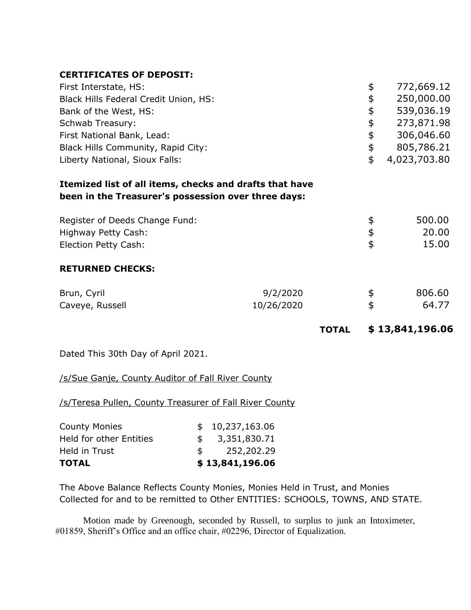## **CERTIFICATES OF DEPOSIT:**

| First Interstate, HS:                                                                                          |            | \$<br>772,669.12   |
|----------------------------------------------------------------------------------------------------------------|------------|--------------------|
| Black Hills Federal Credit Union, HS:                                                                          |            | \$<br>250,000.00   |
| Bank of the West, HS:                                                                                          |            | \$<br>539,036.19   |
| Schwab Treasury:                                                                                               |            | \$<br>273,871.98   |
| First National Bank, Lead:                                                                                     |            | \$<br>306,046.60   |
| Black Hills Community, Rapid City:                                                                             |            | \$<br>805,786.21   |
| Liberty National, Sioux Falls:                                                                                 |            | \$<br>4,023,703.80 |
| Itemized list of all items, checks and drafts that have<br>been in the Treasurer's possession over three days: |            |                    |
| Register of Deeds Change Fund:                                                                                 |            | \$<br>500.00       |
| Highway Petty Cash:                                                                                            |            | \$<br>20.00        |
| Election Petty Cash:                                                                                           |            | \$<br>15.00        |
| <b>RETURNED CHECKS:</b>                                                                                        |            |                    |
| Brun, Cyril                                                                                                    | 9/2/2020   | \$<br>806.60       |
| Caveye, Russell                                                                                                | 10/26/2020 | \$<br>64.77        |
|                                                                                                                |            |                    |

**TOTAL \$ 13,841,196.06** 

Dated This 30th Day of April 2021.

/s/Sue Ganje, County Auditor of Fall River County

/s/Teresa Pullen, County Treasurer of Fall River County

| <b>TOTAL</b>                   |    | \$13,841,196.06 |
|--------------------------------|----|-----------------|
| Held in Trust                  | S. | 252,202.29      |
| <b>Held for other Entities</b> |    | \$3,351,830.71  |
| <b>County Monies</b>           |    | \$10,237,163.06 |

The Above Balance Reflects County Monies, Monies Held in Trust, and Monies Collected for and to be remitted to Other ENTITIES: SCHOOLS, TOWNS, AND STATE.

Motion made by Greenough, seconded by Russell, to surplus to junk an Intoximeter, #01859, Sheriff's Office and an office chair, #02296, Director of Equalization.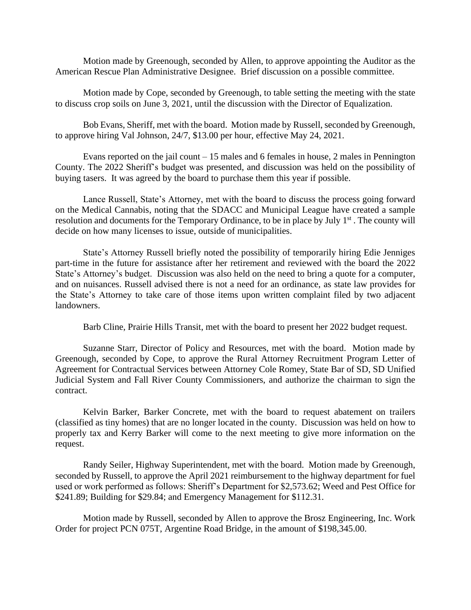Motion made by Greenough, seconded by Allen, to approve appointing the Auditor as the American Rescue Plan Administrative Designee. Brief discussion on a possible committee.

Motion made by Cope, seconded by Greenough, to table setting the meeting with the state to discuss crop soils on June 3, 2021, until the discussion with the Director of Equalization.

Bob Evans, Sheriff, met with the board. Motion made by Russell, seconded by Greenough, to approve hiring Val Johnson, 24/7, \$13.00 per hour, effective May 24, 2021.

Evans reported on the jail count  $-15$  males and 6 females in house, 2 males in Pennington County. The 2022 Sheriff's budget was presented, and discussion was held on the possibility of buying tasers. It was agreed by the board to purchase them this year if possible.

Lance Russell, State's Attorney, met with the board to discuss the process going forward on the Medical Cannabis, noting that the SDACC and Municipal League have created a sample resolution and documents for the Temporary Ordinance, to be in place by July 1<sup>st</sup>. The county will decide on how many licenses to issue, outside of municipalities.

State's Attorney Russell briefly noted the possibility of temporarily hiring Edie Jenniges part-time in the future for assistance after her retirement and reviewed with the board the 2022 State's Attorney's budget. Discussion was also held on the need to bring a quote for a computer, and on nuisances. Russell advised there is not a need for an ordinance, as state law provides for the State's Attorney to take care of those items upon written complaint filed by two adjacent landowners.

Barb Cline, Prairie Hills Transit, met with the board to present her 2022 budget request.

Suzanne Starr, Director of Policy and Resources, met with the board. Motion made by Greenough, seconded by Cope, to approve the Rural Attorney Recruitment Program Letter of Agreement for Contractual Services between Attorney Cole Romey, State Bar of SD, SD Unified Judicial System and Fall River County Commissioners, and authorize the chairman to sign the contract.

Kelvin Barker, Barker Concrete, met with the board to request abatement on trailers (classified as tiny homes) that are no longer located in the county. Discussion was held on how to properly tax and Kerry Barker will come to the next meeting to give more information on the request.

Randy Seiler, Highway Superintendent, met with the board. Motion made by Greenough, seconded by Russell, to approve the April 2021 reimbursement to the highway department for fuel used or work performed as follows: Sheriff's Department for \$2,573.62; Weed and Pest Office for \$241.89; Building for \$29.84; and Emergency Management for \$112.31.

Motion made by Russell, seconded by Allen to approve the Brosz Engineering, Inc. Work Order for project PCN 075T, Argentine Road Bridge, in the amount of \$198,345.00.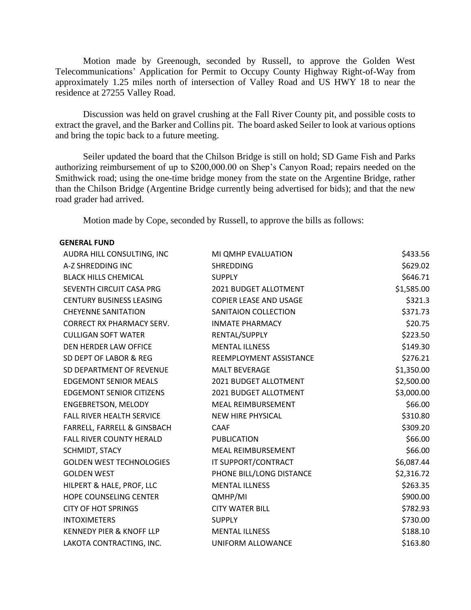Motion made by Greenough, seconded by Russell, to approve the Golden West Telecommunications' Application for Permit to Occupy County Highway Right-of-Way from approximately 1.25 miles north of intersection of Valley Road and US HWY 18 to near the residence at 27255 Valley Road.

Discussion was held on gravel crushing at the Fall River County pit, and possible costs to extract the gravel, and the Barker and Collins pit. The board asked Seiler to look at various options and bring the topic back to a future meeting.

Seiler updated the board that the Chilson Bridge is still on hold; SD Game Fish and Parks authorizing reimbursement of up to \$200,000.00 on Shep's Canyon Road; repairs needed on the Smithwick road; using the one-time bridge money from the state on the Argentine Bridge, rather than the Chilson Bridge (Argentine Bridge currently being advertised for bids); and that the new road grader had arrived.

Motion made by Cope, seconded by Russell, to approve the bills as follows:

#### **GENERAL FUND**

| AUDRA HILL CONSULTING, INC          | MI QMHP EVALUATION            | \$433.56   |
|-------------------------------------|-------------------------------|------------|
| A-Z SHREDDING INC                   | <b>SHREDDING</b>              | \$629.02   |
| <b>BLACK HILLS CHEMICAL</b>         | <b>SUPPLY</b>                 | \$646.71   |
| SEVENTH CIRCUIT CASA PRG            | 2021 BUDGET ALLOTMENT         | \$1,585.00 |
| <b>CENTURY BUSINESS LEASING</b>     | <b>COPIER LEASE AND USAGE</b> | \$321.3    |
| <b>CHEYENNE SANITATION</b>          | SANITAION COLLECTION          | \$371.73   |
| <b>CORRECT RX PHARMACY SERV.</b>    | <b>INMATE PHARMACY</b>        | \$20.75    |
| <b>CULLIGAN SOFT WATER</b>          | RENTAL/SUPPLY                 | \$223.50   |
| DEN HERDER LAW OFFICE               | <b>MENTAL ILLNESS</b>         | \$149.30   |
| SD DEPT OF LABOR & REG              | REEMPLOYMENT ASSISTANCE       | \$276.21   |
| SD DEPARTMENT OF REVENUE            | <b>MALT BEVERAGE</b>          | \$1,350.00 |
| <b>EDGEMONT SENIOR MEALS</b>        | 2021 BUDGET ALLOTMENT         | \$2,500.00 |
| <b>EDGEMONT SENIOR CITIZENS</b>     | 2021 BUDGET ALLOTMENT         | \$3,000.00 |
| ENGEBRETSON, MELODY                 | MEAL REIMBURSEMENT            | \$66.00    |
| FALL RIVER HEALTH SERVICE           | NEW HIRE PHYSICAL             | \$310.80   |
| FARRELL, FARRELL & GINSBACH         | <b>CAAF</b>                   | \$309.20   |
| <b>FALL RIVER COUNTY HERALD</b>     | <b>PUBLICATION</b>            | \$66.00    |
| SCHMIDT, STACY                      | <b>MEAL REIMBURSEMENT</b>     | \$66.00    |
| <b>GOLDEN WEST TECHNOLOGIES</b>     | IT SUPPORT/CONTRACT           | \$6,087.44 |
| <b>GOLDEN WEST</b>                  | PHONE BILL/LONG DISTANCE      | \$2,316.72 |
| HILPERT & HALE, PROF, LLC           | <b>MENTAL ILLNESS</b>         | \$263.35   |
| HOPE COUNSELING CENTER              | QMHP/MI                       | \$900.00   |
| <b>CITY OF HOT SPRINGS</b>          | <b>CITY WATER BILL</b>        | \$782.93   |
| <b>INTOXIMETERS</b>                 | <b>SUPPLY</b>                 | \$730.00   |
| <b>KENNEDY PIER &amp; KNOFF LLP</b> | <b>MENTAL ILLNESS</b>         | \$188.10   |
| LAKOTA CONTRACTING, INC.            | UNIFORM ALLOWANCE             | \$163.80   |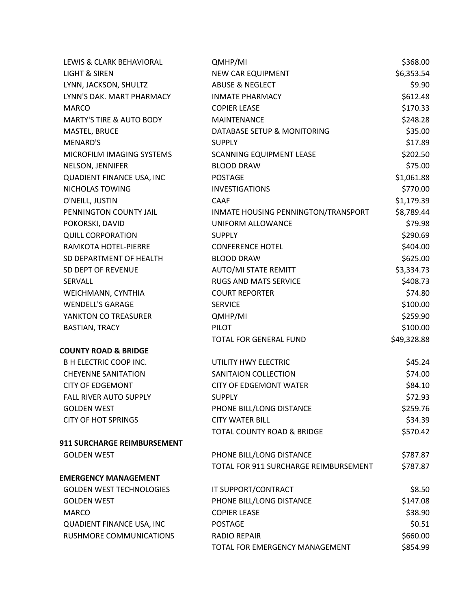| LEWIS & CLARK BEHAVIORAL            | QMHP/MI                               | \$368.00    |
|-------------------------------------|---------------------------------------|-------------|
| LIGHT & SIREN                       | <b>NEW CAR EQUIPMENT</b>              | \$6,353.54  |
| LYNN, JACKSON, SHULTZ               | <b>ABUSE &amp; NEGLECT</b>            | \$9.90      |
| LYNN'S DAK. MART PHARMACY           | <b>INMATE PHARMACY</b>                | \$612.48    |
| <b>MARCO</b>                        | <b>COPIER LEASE</b>                   | \$170.33    |
| <b>MARTY'S TIRE &amp; AUTO BODY</b> | <b>MAINTENANCE</b>                    | \$248.28    |
| MASTEL, BRUCE                       | DATABASE SETUP & MONITORING           | \$35.00     |
| MENARD'S                            | <b>SUPPLY</b>                         | \$17.89     |
| MICROFILM IMAGING SYSTEMS           | <b>SCANNING EQUIPMENT LEASE</b>       | \$202.50    |
| NELSON, JENNIFER                    | <b>BLOOD DRAW</b>                     | \$75.00     |
| QUADIENT FINANCE USA, INC           | <b>POSTAGE</b>                        | \$1,061.88  |
| NICHOLAS TOWING                     | <b>INVESTIGATIONS</b>                 | \$770.00    |
| O'NEILL, JUSTIN                     | <b>CAAF</b>                           | \$1,179.39  |
| PENNINGTON COUNTY JAIL              | INMATE HOUSING PENNINGTON/TRANSPORT   | \$8,789.44  |
| POKORSKI, DAVID                     | UNIFORM ALLOWANCE                     | \$79.98     |
| <b>QUILL CORPORATION</b>            | <b>SUPPLY</b>                         | \$290.69    |
| RAMKOTA HOTEL-PIERRE                | <b>CONFERENCE HOTEL</b>               | \$404.00    |
| SD DEPARTMENT OF HEALTH             | <b>BLOOD DRAW</b>                     | \$625.00    |
| SD DEPT OF REVENUE                  | AUTO/MI STATE REMITT                  | \$3,334.73  |
| SERVALL                             | <b>RUGS AND MATS SERVICE</b>          | \$408.73    |
| WEICHMANN, CYNTHIA                  | <b>COURT REPORTER</b>                 | \$74.80     |
| <b>WENDELL'S GARAGE</b>             | <b>SERVICE</b>                        | \$100.00    |
| YANKTON CO TREASURER                | QMHP/MI                               | \$259.90    |
| <b>BASTIAN, TRACY</b>               | <b>PILOT</b>                          | \$100.00    |
|                                     | TOTAL FOR GENERAL FUND                | \$49,328.88 |
| <b>COUNTY ROAD &amp; BRIDGE</b>     |                                       |             |
| <b>B H ELECTRIC COOP INC.</b>       | UTILITY HWY ELECTRIC                  | \$45.24     |
| <b>CHEYENNE SANITATION</b>          | SANITAION COLLECTION                  | \$74.00     |
| <b>CITY OF EDGEMONT</b>             | <b>CITY OF EDGEMONT WATER</b>         | \$84.10     |
| FALL RIVER AUTO SUPPLY              | <b>SUPPLY</b>                         | \$72.93     |
| <b>GOLDEN WEST</b>                  | PHONE BILL/LONG DISTANCE              | \$259.76    |
| <b>CITY OF HOT SPRINGS</b>          | <b>CITY WATER BILL</b>                | \$34.39     |
|                                     | TOTAL COUNTY ROAD & BRIDGE            | \$570.42    |
| 911 SURCHARGE REIMBURSEMENT         |                                       |             |
| <b>GOLDEN WEST</b>                  | PHONE BILL/LONG DISTANCE              | \$787.87    |
|                                     | TOTAL FOR 911 SURCHARGE REIMBURSEMENT | \$787.87    |
| <b>EMERGENCY MANAGEMENT</b>         |                                       |             |
| <b>GOLDEN WEST TECHNOLOGIES</b>     | IT SUPPORT/CONTRACT                   | \$8.50      |
| <b>GOLDEN WEST</b>                  | PHONE BILL/LONG DISTANCE              | \$147.08    |
| <b>MARCO</b>                        | <b>COPIER LEASE</b>                   | \$38.90     |
| QUADIENT FINANCE USA, INC           | <b>POSTAGE</b>                        | \$0.51      |
| RUSHMORE COMMUNICATIONS             | <b>RADIO REPAIR</b>                   | \$660.00    |
|                                     | TOTAL FOR EMERGENCY MANAGEMENT        | \$854.99    |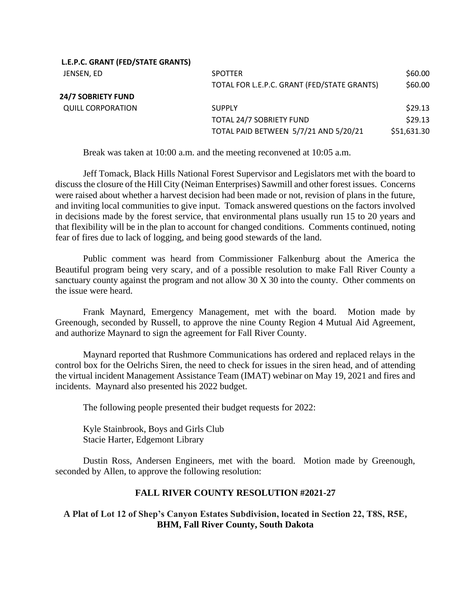| L.E.P.C. GRANT (FED/STATE GRANTS) |                                             |             |
|-----------------------------------|---------------------------------------------|-------------|
| JENSEN, ED                        | <b>SPOTTER</b>                              | \$60.00     |
|                                   | TOTAL FOR L.E.P.C. GRANT (FED/STATE GRANTS) | \$60.00     |
| 24/7 SOBRIETY FUND                |                                             |             |
| <b>QUILL CORPORATION</b>          | <b>SUPPLY</b>                               | \$29.13     |
|                                   | TOTAL 24/7 SOBRIETY FUND                    | \$29.13     |
|                                   | TOTAL PAID BETWEEN 5/7/21 AND 5/20/21       | \$51,631.30 |
|                                   |                                             |             |

Break was taken at 10:00 a.m. and the meeting reconvened at 10:05 a.m.

Jeff Tomack, Black Hills National Forest Supervisor and Legislators met with the board to discuss the closure of the Hill City (Neiman Enterprises) Sawmill and other forest issues. Concerns were raised about whether a harvest decision had been made or not, revision of plans in the future, and inviting local communities to give input. Tomack answered questions on the factors involved in decisions made by the forest service, that environmental plans usually run 15 to 20 years and that flexibility will be in the plan to account for changed conditions. Comments continued, noting fear of fires due to lack of logging, and being good stewards of the land.

Public comment was heard from Commissioner Falkenburg about the America the Beautiful program being very scary, and of a possible resolution to make Fall River County a sanctuary county against the program and not allow 30 X 30 into the county. Other comments on the issue were heard.

Frank Maynard, Emergency Management, met with the board. Motion made by Greenough, seconded by Russell, to approve the nine County Region 4 Mutual Aid Agreement, and authorize Maynard to sign the agreement for Fall River County.

Maynard reported that Rushmore Communications has ordered and replaced relays in the control box for the Oelrichs Siren, the need to check for issues in the siren head, and of attending the virtual incident Management Assistance Team (IMAT) webinar on May 19, 2021 and fires and incidents. Maynard also presented his 2022 budget.

The following people presented their budget requests for 2022:

Kyle Stainbrook, Boys and Girls Club Stacie Harter, Edgemont Library

**L.E.P.C. GRANT (FED/STATE GRANTS)**

Dustin Ross, Andersen Engineers, met with the board. Motion made by Greenough, seconded by Allen, to approve the following resolution:

# **FALL RIVER COUNTY RESOLUTION #2021-27**

## **A Plat of Lot 12 of Shep's Canyon Estates Subdivision, located in Section 22, T8S, R5E, BHM, Fall River County, South Dakota**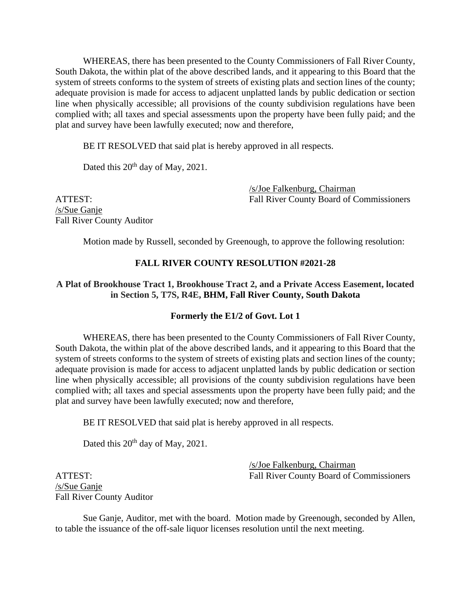WHEREAS, there has been presented to the County Commissioners of Fall River County, South Dakota, the within plat of the above described lands, and it appearing to this Board that the system of streets conforms to the system of streets of existing plats and section lines of the county; adequate provision is made for access to adjacent unplatted lands by public dedication or section line when physically accessible; all provisions of the county subdivision regulations have been complied with; all taxes and special assessments upon the property have been fully paid; and the plat and survey have been lawfully executed; now and therefore,

BE IT RESOLVED that said plat is hereby approved in all respects.

Dated this 20<sup>th</sup> day of May, 2021.

/s/Joe Falkenburg, Chairman ATTEST: Fall River County Board of Commissioners

/s/Sue Ganje Fall River County Auditor

Motion made by Russell, seconded by Greenough, to approve the following resolution:

## **FALL RIVER COUNTY RESOLUTION #2021-28**

## **A Plat of Brookhouse Tract 1, Brookhouse Tract 2, and a Private Access Easement, located in Section 5, T7S, R4E, BHM, Fall River County, South Dakota**

#### **Formerly the E1/2 of Govt. Lot 1**

WHEREAS, there has been presented to the County Commissioners of Fall River County, South Dakota, the within plat of the above described lands, and it appearing to this Board that the system of streets conforms to the system of streets of existing plats and section lines of the county; adequate provision is made for access to adjacent unplatted lands by public dedication or section line when physically accessible; all provisions of the county subdivision regulations have been complied with; all taxes and special assessments upon the property have been fully paid; and the plat and survey have been lawfully executed; now and therefore,

BE IT RESOLVED that said plat is hereby approved in all respects.

Dated this 20<sup>th</sup> day of May, 2021.

/s/Joe Falkenburg, Chairman ATTEST: Fall River County Board of Commissioners

/s/Sue Ganje Fall River County Auditor

Sue Ganje, Auditor, met with the board. Motion made by Greenough, seconded by Allen, to table the issuance of the off-sale liquor licenses resolution until the next meeting.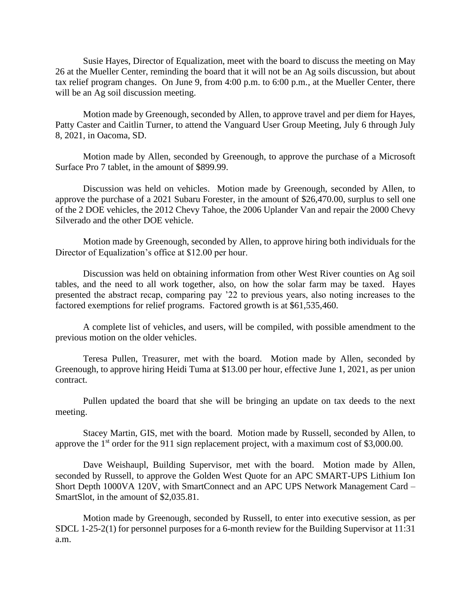Susie Hayes, Director of Equalization, meet with the board to discuss the meeting on May 26 at the Mueller Center, reminding the board that it will not be an Ag soils discussion, but about tax relief program changes. On June 9, from 4:00 p.m. to 6:00 p.m., at the Mueller Center, there will be an Ag soil discussion meeting.

Motion made by Greenough, seconded by Allen, to approve travel and per diem for Hayes, Patty Caster and Caitlin Turner, to attend the Vanguard User Group Meeting, July 6 through July 8, 2021, in Oacoma, SD.

Motion made by Allen, seconded by Greenough, to approve the purchase of a Microsoft Surface Pro 7 tablet, in the amount of \$899.99.

Discussion was held on vehicles. Motion made by Greenough, seconded by Allen, to approve the purchase of a 2021 Subaru Forester, in the amount of \$26,470.00, surplus to sell one of the 2 DOE vehicles, the 2012 Chevy Tahoe, the 2006 Uplander Van and repair the 2000 Chevy Silverado and the other DOE vehicle.

Motion made by Greenough, seconded by Allen, to approve hiring both individuals for the Director of Equalization's office at \$12.00 per hour.

Discussion was held on obtaining information from other West River counties on Ag soil tables, and the need to all work together, also, on how the solar farm may be taxed. Hayes presented the abstract recap, comparing pay '22 to previous years, also noting increases to the factored exemptions for relief programs. Factored growth is at \$61,535,460.

A complete list of vehicles, and users, will be compiled, with possible amendment to the previous motion on the older vehicles.

Teresa Pullen, Treasurer, met with the board. Motion made by Allen, seconded by Greenough, to approve hiring Heidi Tuma at \$13.00 per hour, effective June 1, 2021, as per union contract.

Pullen updated the board that she will be bringing an update on tax deeds to the next meeting.

Stacey Martin, GIS, met with the board. Motion made by Russell, seconded by Allen, to approve the  $1<sup>st</sup>$  order for the 911 sign replacement project, with a maximum cost of \$3,000.00.

Dave Weishaupl, Building Supervisor, met with the board. Motion made by Allen, seconded by Russell, to approve the Golden West Quote for an APC SMART-UPS Lithium Ion Short Depth 1000VA 120V, with SmartConnect and an APC UPS Network Management Card – SmartSlot, in the amount of \$2,035.81.

Motion made by Greenough, seconded by Russell, to enter into executive session, as per SDCL 1-25-2(1) for personnel purposes for a 6-month review for the Building Supervisor at 11:31 a.m.